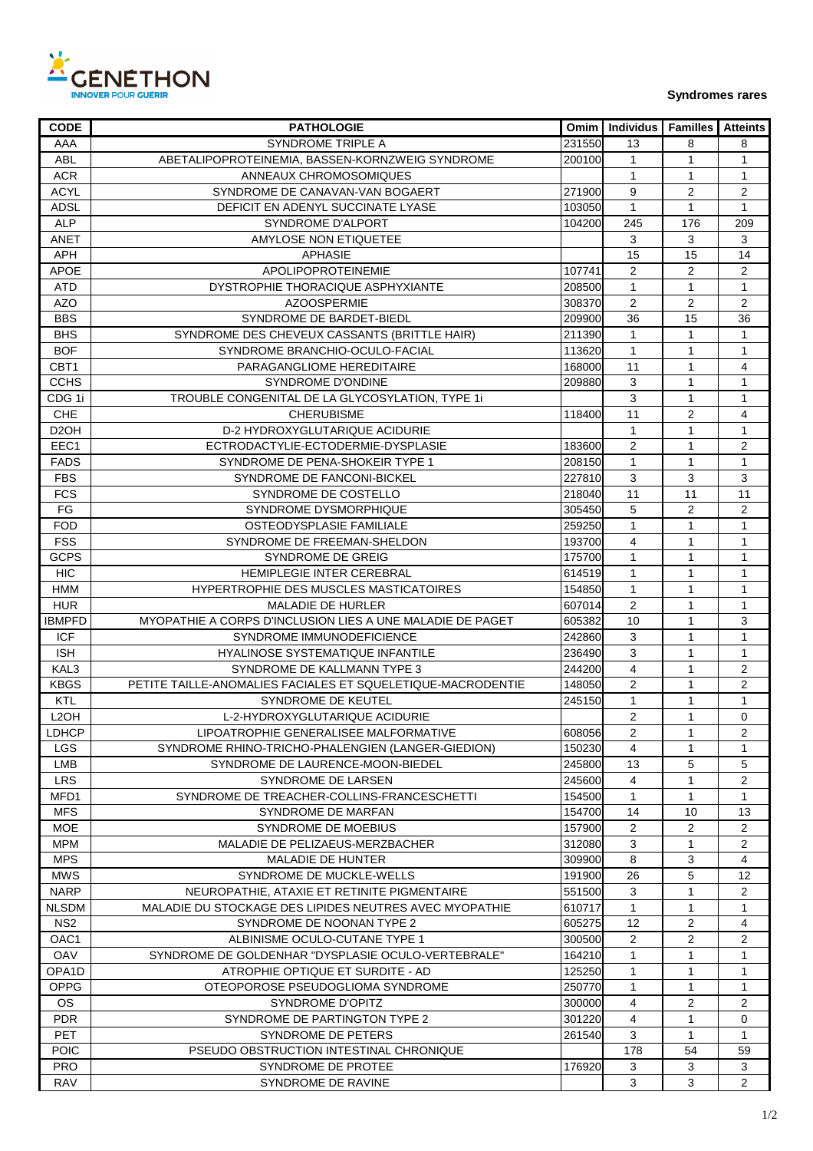

**Syndromes rares** 

| <b>CODE</b>       | <b>PATHOLOGIE</b>                                           |        | Omim   Individus | <b>Familles</b> | <b>Atteints</b> |
|-------------------|-------------------------------------------------------------|--------|------------------|-----------------|-----------------|
| AAA               | SYNDROME TRIPLE A                                           | 231550 | 13               | 8               | 8               |
| <b>ABL</b>        | ABETALIPOPROTEINEMIA, BASSEN-KORNZWEIG SYNDROME             | 200100 | 1                | 1               | 1               |
| <b>ACR</b>        | ANNEAUX CHROMOSOMIQUES                                      |        | $\mathbf{1}$     | 1               | $\mathbf{1}$    |
| <b>ACYL</b>       | SYNDROME DE CANAVAN-VAN BOGAERT                             | 271900 | 9                | $\overline{c}$  | $\overline{2}$  |
| <b>ADSL</b>       | DEFICIT EN ADENYL SUCCINATE LYASE                           | 103050 | $\mathbf{1}$     | $\mathbf{1}$    | $\mathbf{1}$    |
| <b>ALP</b>        | SYNDROME D'ALPORT                                           | 104200 | 245              | 176             | 209             |
| ANET              | AMYLOSE NON ETIQUETEE                                       |        | $\mathbf{3}$     | 3               | 3               |
| APH               | <b>APHASIE</b>                                              |        | 15               | 15              | 14              |
| <b>APOE</b>       | APOLIPOPROTEINEMIE                                          | 107741 | $\overline{2}$   | $\overline{2}$  | $\overline{c}$  |
| <b>ATD</b>        | DYSTROPHIE THORACIQUE ASPHYXIANTE                           | 208500 | $\mathbf{1}$     | $\mathbf{1}$    | $\mathbf{1}$    |
| <b>AZO</b>        | <b>AZOOSPERMIE</b>                                          | 308370 | $\overline{2}$   | $\overline{2}$  | $\overline{c}$  |
| <b>BBS</b>        | SYNDROME DE BARDET-BIEDL                                    | 209900 | 36               | 15              | 36              |
| <b>BHS</b>        | SYNDROME DES CHEVEUX CASSANTS (BRITTLE HAIR)                | 211390 | $\mathbf{1}$     | 1               | 1               |
| <b>BOF</b>        | SYNDROME BRANCHIO-OCULO-FACIAL                              | 113620 | $\mathbf{1}$     | $\mathbf{1}$    | $\mathbf{1}$    |
| CBT1              | PARAGANGLIOME HEREDITAIRE                                   | 168000 | 11               | $\mathbf{1}$    | 4               |
| <b>CCHS</b>       | SYNDROME D'ONDINE                                           | 209880 | 3                | $\mathbf{1}$    | $\mathbf{1}$    |
|                   |                                                             |        |                  |                 |                 |
| CDG 1i            | TROUBLE CONGENITAL DE LA GLYCOSYLATION, TYPE 1i             |        | 3                | $\mathbf{1}$    | 1               |
| <b>CHE</b>        | <b>CHERUBISME</b>                                           | 118400 | 11               | $\overline{2}$  | 4               |
| D <sub>2</sub> OH | D-2 HYDROXYGLUTARIQUE ACIDURIE                              |        | $\mathbf{1}$     | 1               | $\mathbf{1}$    |
| EEC1              | ECTRODACTYLIE-ECTODERMIE-DYSPLASIE                          | 183600 | $\overline{c}$   | $\mathbf{1}$    | 2               |
| <b>FADS</b>       | SYNDROME DE PENA-SHOKEIR TYPE 1                             | 208150 | $\mathbf{1}$     | 1               | $\mathbf{1}$    |
| <b>FBS</b>        | SYNDROME DE FANCONI-BICKEL                                  | 227810 | 3                | 3               | 3               |
| <b>FCS</b>        | SYNDROME DE COSTELLO                                        | 218040 | 11               | 11              | 11              |
| FG                | SYNDROME DYSMORPHIQUE                                       | 305450 | 5                | $\overline{2}$  | $\overline{2}$  |
| <b>FOD</b>        | OSTEODYSPLASIE FAMILIALE                                    | 259250 | $\mathbf{1}$     | $\mathbf{1}$    | $\mathbf{1}$    |
| <b>FSS</b>        | SYNDROME DE FREEMAN-SHELDON                                 | 193700 | 4                | 1               | $\mathbf{1}$    |
| <b>GCPS</b>       | <b>SYNDROME DE GREIG</b>                                    | 175700 | $\mathbf 1$      | $\mathbf{1}$    | $\mathbf{1}$    |
| <b>HIC</b>        | HEMIPLEGIE INTER CEREBRAL                                   | 614519 | $\mathbf{1}$     | $\mathbf{1}$    | $\mathbf{1}$    |
| <b>HMM</b>        | HYPERTROPHIE DES MUSCLES MASTICATOIRES                      | 154850 | $\mathbf{1}$     | $\mathbf{1}$    | $\mathbf{1}$    |
| <b>HUR</b>        | MALADIE DE HURLER                                           | 607014 | 2                | $\mathbf{1}$    | $\mathbf{1}$    |
| <b>IBMPFD</b>     | MYOPATHIE A CORPS D'INCLUSION LIES A UNE MALADIE DE PAGET   | 605382 | 10               | $\mathbf{1}$    | 3               |
| <b>ICF</b>        | SYNDROME IMMUNODEFICIENCE                                   | 242860 | 3                | $\mathbf{1}$    | $\mathbf{1}$    |
| <b>ISH</b>        | HYALINOSE SYSTEMATIQUE INFANTILE                            | 236490 | 3                | 1               | $\mathbf{1}$    |
| KAL3              | SYNDROME DE KALLMANN TYPE 3                                 | 244200 | 4                | 1               | 2               |
| <b>KBGS</b>       | PETITE TAILLE-ANOMALIES FACIALES ET SQUELETIQUE-MACRODENTIE | 148050 | $\overline{2}$   | 1               | $\overline{2}$  |
| KTL               | SYNDROME DE KEUTEL                                          | 245150 | $\mathbf{1}$     | 1               | $\mathbf{1}$    |
| L <sub>2</sub> OH | L-2-HYDROXYGLUTARIQUE ACIDURIE                              |        | $\overline{c}$   | $\mathbf{1}$    | $\mathbf 0$     |
| LDHCP             | LIPOATROPHIE GENERALISEE MALFORMATIVE                       | 608056 | 2                | 1               | 2               |
| LGS.              | SYNDROME RHINO-TRICHO-PHALENGIEN (LANGER-GIEDION)           | 150230 | $\overline{4}$   | 1               | 1               |
| LMB               | SYNDROME DE LAURENCE-MOON-BIEDEL                            | 245800 | 13               | 5               | 5               |
|                   |                                                             |        |                  |                 |                 |
| <b>LRS</b>        | SYNDROME DE LARSEN                                          | 245600 | 4                | 1               | 2               |
| MFD1              | SYNDROME DE TREACHER-COLLINS-FRANCESCHETTI                  | 154500 | $\mathbf{1}$     | $\mathbf{1}$    | 1               |
| <b>MFS</b>        | SYNDROME DE MARFAN                                          | 154700 | 14               | 10              | 13              |
| MOE               | SYNDROME DE MOEBIUS                                         | 157900 | 2                | 2               | 2               |
| MPM               | MALADIE DE PELIZAEUS-MERZBACHER                             | 312080 | 3                | 1               | $\overline{2}$  |
| <b>MPS</b>        | <b>MALADIE DE HUNTER</b>                                    | 309900 | 8                | 3               | 4               |
| <b>MWS</b>        | SYNDROME DE MUCKLE-WELLS                                    | 191900 | 26               | 5               | 12              |
| <b>NARP</b>       | NEUROPATHIE, ATAXIE ET RETINITE PIGMENTAIRE                 | 551500 | 3                | 1               | $\overline{2}$  |
| <b>NLSDM</b>      | MALADIE DU STOCKAGE DES LIPIDES NEUTRES AVEC MYOPATHIE      | 610717 | $\mathbf{1}$     | 1               | 1               |
| NS <sub>2</sub>   | SYNDROME DE NOONAN TYPE 2                                   | 605275 | 12               | $\overline{2}$  | 4               |
| OAC <sub>1</sub>  | ALBINISME OCULO-CUTANE TYPE 1                               | 300500 | 2                | 2               | 2               |
| <b>OAV</b>        | SYNDROME DE GOLDENHAR "DYSPLASIE OCULO-VERTEBRALE"          | 164210 | $\mathbf{1}$     | 1               | $\mathbf{1}$    |
| OPA1D             | ATROPHIE OPTIQUE ET SURDITE - AD                            | 125250 | 1                | 1               | $\mathbf{1}$    |
| <b>OPPG</b>       | OTEOPOROSE PSEUDOGLIOMA SYNDROME                            | 250770 | 1                | 1               | 1               |
| OS                | SYNDROME D'OPITZ                                            | 300000 | 4                | 2               | $\overline{2}$  |
| <b>PDR</b>        | SYNDROME DE PARTINGTON TYPE 2                               | 301220 | 4                | $\mathbf{1}$    | 0               |
| PET               | SYNDROME DE PETERS                                          | 261540 | 3                | $\mathbf{1}$    | 1               |
| <b>POIC</b>       | PSEUDO OBSTRUCTION INTESTINAL CHRONIQUE                     |        | 178              | 54              | 59              |
| <b>PRO</b>        | SYNDROME DE PROTEE                                          | 176920 | 3                | 3               | 3               |
| <b>RAV</b>        | SYNDROME DE RAVINE                                          |        | 3                | 3               | 2               |
|                   |                                                             |        |                  |                 |                 |